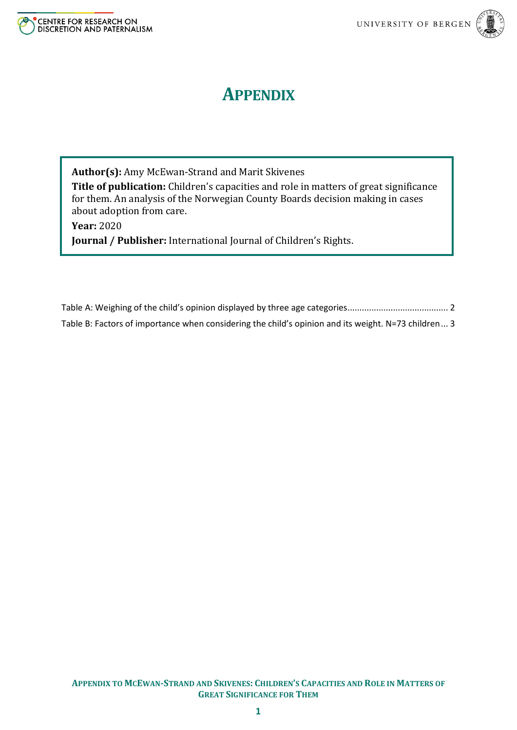

## **APPENDIX**

**Author(s):** Amy McEwan-Strand and Marit Skivenes **Title of publication:** Children's capacities and role in matters of great significance for them. An analysis of the Norwegian County Boards decision making in cases about adoption from care.

**Year:** 2020

**Journal / Publisher:** International Journal of Children's Rights.

[Table A: Weighing of the child's opinion displayed by three age categories](#page-1-0).......................................... 2 [Table B: Factors of importance when considering the child's opinion and its weight. N=73 children](#page-2-0)... 3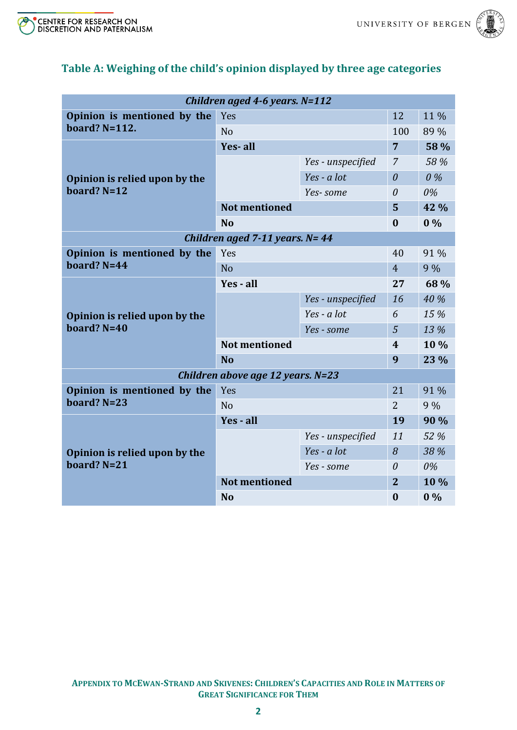

|--|

| Children aged 4-6 years. N=112                  |                      |                   |                |       |  |  |
|-------------------------------------------------|----------------------|-------------------|----------------|-------|--|--|
| Opinion is mentioned by the<br>board? $N=112$ . | Yes                  |                   | 12             | 11%   |  |  |
|                                                 | N <sub>0</sub>       |                   | 100            | 89 %  |  |  |
|                                                 | Yes-all              |                   | $\overline{7}$ | 58 %  |  |  |
| Opinion is relied upon by the<br>board? $N=12$  |                      | Yes - unspecified | $\overline{7}$ | 58 %  |  |  |
|                                                 |                      | $Yes - a lot$     | $\theta$       | $0\%$ |  |  |
|                                                 |                      | Yes-some          | $\theta$       | 0%    |  |  |
|                                                 | <b>Not mentioned</b> |                   | 5              | 42 %  |  |  |
|                                                 | N <sub>0</sub>       |                   | $\bf{0}$       | $0\%$ |  |  |
| Children aged 7-11 years. $N = 44$              |                      |                   |                |       |  |  |
| Opinion is mentioned by the<br>board? $N=44$    | Yes                  |                   | 40             | 91 %  |  |  |
|                                                 | <b>No</b>            |                   | $\overline{4}$ | 9%    |  |  |
| Opinion is relied upon by the<br>board? $N=40$  | Yes - all            |                   | 27             | 68 %  |  |  |
|                                                 |                      | Yes - unspecified | 16             | 40 %  |  |  |
|                                                 |                      | $Yes - a lot$     | 6              | 15 %  |  |  |
|                                                 |                      | Yes - some        | 5              | 13 %  |  |  |
|                                                 | <b>Not mentioned</b> |                   | 4              | 10 %  |  |  |
|                                                 | <b>No</b>            |                   | 9              | 23 %  |  |  |
| Children above age 12 years. N=23               |                      |                   |                |       |  |  |
| Opinion is mentioned by the<br>board? $N=23$    | Yes                  |                   | 21             | 91 %  |  |  |
|                                                 | N <sub>o</sub>       |                   | $\overline{2}$ | 9%    |  |  |
| Opinion is relied upon by the<br>board? $N=21$  | Yes - all            |                   | 19             | 90 %  |  |  |
|                                                 |                      | Yes - unspecified | 11             | 52 %  |  |  |
|                                                 |                      | Yes - a lot       | 8              | 38 %  |  |  |
|                                                 |                      | Yes - some        | $\theta$       | 0%    |  |  |
|                                                 | <b>Not mentioned</b> |                   | $\overline{2}$ | 10 %  |  |  |
|                                                 | <b>No</b>            |                   | $\bf{0}$       | $0\%$ |  |  |

## <span id="page-1-0"></span>**Table A: Weighing of the child's opinion displayed by three age categories**